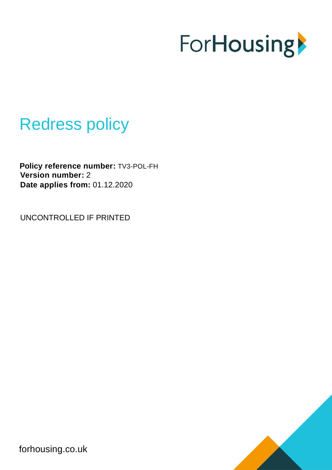

# Redress policy

**Policy reference number:** TV3-POL-FH **Version number:** 2 **Date applies from:** 01.12.2020

UNCONTROLLED IF PRINTED



forhousing.co.uk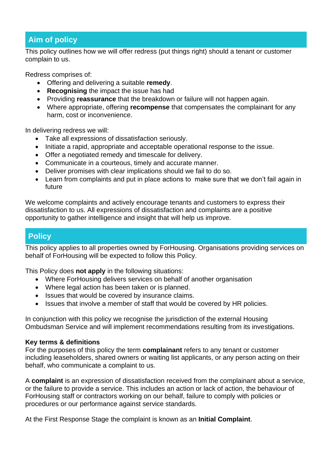# **Aim of policy**

This policy outlines how we will offer redress (put things right) should a tenant or customer complain to us.

Redress comprises of:

- Offering and delivering a suitable **remedy**.
- **Recognising** the impact the issue has had
- Providing **reassurance** that the breakdown or failure will not happen again.
- Where appropriate, offering **recompense** that compensates the complainant for any harm, cost or inconvenience.

In delivering redress we will:

- Take all expressions of dissatisfaction seriously.
- Initiate a rapid, appropriate and acceptable operational response to the issue.
- Offer a negotiated remedy and timescale for delivery.
- Communicate in a courteous, timely and accurate manner.
- Deliver promises with clear implications should we fail to do so.
- Learn from complaints and put in place actions to make sure that we don't fail again in future

We welcome complaints and actively encourage tenants and customers to express their dissatisfaction to us. All expressions of dissatisfaction and complaints are a positive opportunity to gather intelligence and insight that will help us improve.

# **Policy**

This policy applies to all properties owned by ForHousing. Organisations providing services on behalf of ForHousing will be expected to follow this Policy.

This Policy does **not apply** in the following situations:

- Where ForHousing delivers services on behalf of another organisation
- Where legal action has been taken or is planned.
- Issues that would be covered by insurance claims.
- Issues that involve a member of staff that would be covered by HR policies.

In conjunction with this policy we recognise the jurisdiction of the external Housing Ombudsman Service and will implement recommendations resulting from its investigations.

#### **Key terms & definitions**

For the purposes of this policy the term **complainant** refers to any tenant or customer including leaseholders, shared owners or waiting list applicants, or any person acting on their behalf, who communicate a complaint to us.

A **complaint** is an expression of dissatisfaction received from the complainant about a service, or the failure to provide a service. This includes an action or lack of action, the behaviour of ForHousing staff or contractors working on our behalf, failure to comply with policies or procedures or our performance against service standards.

At the First Response Stage the complaint is known as an **Initial Complaint**.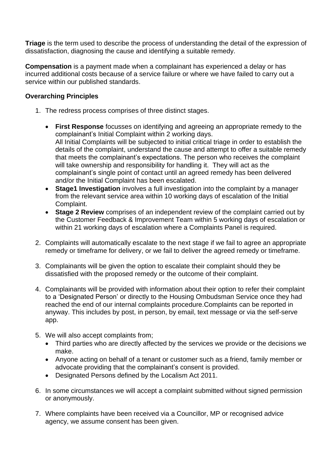**Triage** is the term used to describe the process of understanding the detail of the expression of dissatisfaction, diagnosing the cause and identifying a suitable remedy.

**Compensation** is a payment made when a complainant has experienced a delay or has incurred additional costs because of a service failure or where we have failed to carry out a service within our published standards.

#### **Overarching Principles**

- 1. The redress process comprises of three distinct stages.
	- **First Response** focusses on identifying and agreeing an appropriate remedy to the complainant's Initial Complaint within 2 working days. All Initial Complaints will be subjected to initial critical triage in order to establish the details of the complaint, understand the cause and attempt to offer a suitable remedy that meets the complainant's expectations. The person who receives the complaint will take ownership and responsibility for handling it. They will act as the complainant's single point of contact until an agreed remedy has been delivered and/or the Initial Complaint has been escalated.
	- **Stage1 Investigation** involves a full investigation into the complaint by a manager from the relevant service area within 10 working days of escalation of the Initial Complaint.
	- **Stage 2 Review** comprises of an independent review of the complaint carried out by the Customer Feedback & Improvement Team within 5 working days of escalation or within 21 working days of escalation where a Complaints Panel is required.
- 2. Complaints will automatically escalate to the next stage if we fail to agree an appropriate remedy or timeframe for delivery, or we fail to deliver the agreed remedy or timeframe.
- 3. Complainants will be given the option to escalate their complaint should they be dissatisfied with the proposed remedy or the outcome of their complaint.
- 4. Complainants will be provided with information about their option to refer their complaint to a 'Designated Person' or directly to the Housing Ombudsman Service once they had reached the end of our internal complaints procedure.Complaints can be reported in anyway. This includes by post, in person, by email, text message or via the self-serve app.
- 5. We will also accept complaints from;
	- Third parties who are directly affected by the services we provide or the decisions we make.
	- Anyone acting on behalf of a tenant or customer such as a friend, family member or advocate providing that the complainant's consent is provided.
	- Designated Persons defined by the Localism Act 2011.
- 6. In some circumstances we will accept a complaint submitted without signed permission or anonymously.
- 7. Where complaints have been received via a Councillor, MP or recognised advice agency, we assume consent has been given.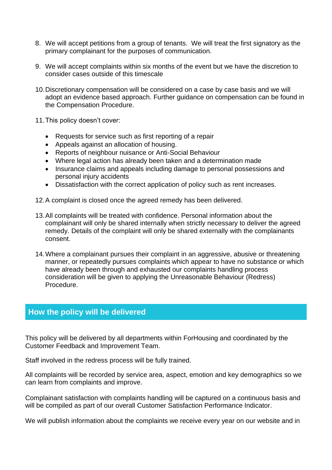- 8. We will accept petitions from a group of tenants. We will treat the first signatory as the primary complainant for the purposes of communication.
- 9. We will accept complaints within six months of the event but we have the discretion to consider cases outside of this timescale
- 10.Discretionary compensation will be considered on a case by case basis and we will adopt an evidence based approach. Further guidance on compensation can be found in the Compensation Procedure.
- 11.This policy doesn't cover:
	- Requests for service such as first reporting of a repair
	- Appeals against an allocation of housing.
	- Reports of neighbour nuisance or Anti-Social Behaviour
	- Where legal action has already been taken and a determination made
	- Insurance claims and appeals including damage to personal possessions and personal injury accidents
	- Dissatisfaction with the correct application of policy such as rent increases.
- 12.A complaint is closed once the agreed remedy has been delivered.
- 13.All complaints will be treated with confidence. Personal information about the complainant will only be shared internally when strictly necessary to deliver the agreed remedy. Details of the complaint will only be shared externally with the complainants consent.
- 14.Where a complainant pursues their complaint in an aggressive, abusive or threatening manner, or repeatedly pursues complaints which appear to have no substance or which have already been through and exhausted our complaints handling process consideration will be given to applying the Unreasonable Behaviour (Redress) Procedure.

### **How the policy will be delivered**

This policy will be delivered by all departments within ForHousing and coordinated by the Customer Feedback and Improvement Team.

Staff involved in the redress process will be fully trained.

All complaints will be recorded by service area, aspect, emotion and key demographics so we can learn from complaints and improve.

Complainant satisfaction with complaints handling will be captured on a continuous basis and will be compiled as part of our overall Customer Satisfaction Performance Indicator.

We will publish information about the complaints we receive every year on our website and in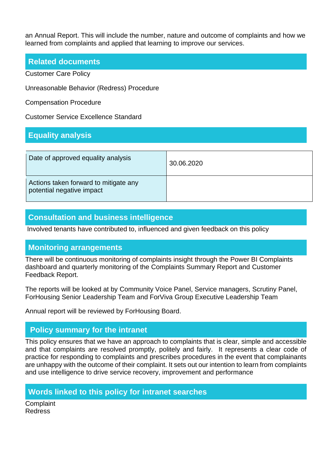an Annual Report. This will include the number, nature and outcome of complaints and how we learned from complaints and applied that learning to improve our services.

#### **Related documents**

Customer Care Policy

Unreasonable Behavior (Redress) Procedure

Compensation Procedure

Customer Service Excellence Standard

# **Equality analysis**

| Date of approved equality analysis                                 | 30.06.2020 |
|--------------------------------------------------------------------|------------|
| Actions taken forward to mitigate any<br>potential negative impact |            |

# **Consultation and business intelligence**

Involved tenants have contributed to, influenced and given feedback on this policy

#### **Monitoring arrangements**

There will be continuous monitoring of complaints insight through the Power BI Complaints dashboard and quarterly monitoring of the Complaints Summary Report and Customer Feedback Report.

The reports will be looked at by Community Voice Panel, Service managers, Scrutiny Panel, ForHousing Senior Leadership Team and ForViva Group Executive Leadership Team

Annual report will be reviewed by ForHousing Board.

# **Policy summary for the intranet**

This policy ensures that we have an approach to complaints that is clear, simple and accessible and that complaints are resolved promptly, politely and fairly. It represents a clear code of practice for responding to complaints and prescribes procedures in the event that complainants are unhappy with the outcome of their complaint. It sets out our intention to learn from complaints and use intelligence to drive service recovery, improvement and performance

## **Words linked to this policy for intranet searches**

**Complaint** Redress